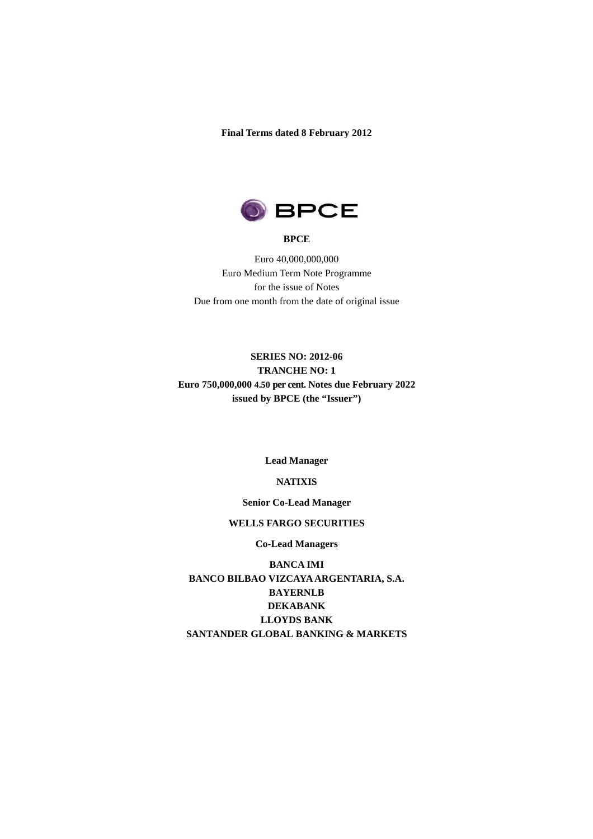**Final Terms dated 8 February 2012** 



#### **BPCE**

Euro 40,000,000,000 Euro Medium Term Note Programme for the issue of Notes Due from one month from the date of original issue

# **SERIES NO: 2012-06 TRANCHE NO: 1 Euro 750,000,000 4.50 per cent. Notes due February 2022 issued by BPCE (the "Issuer")**

#### **Lead Manager**

#### **NATIXIS**

#### **Senior Co-Lead Manager**

#### **WELLS FARGO SECURITIES**

**Co-Lead Managers** 

**BANCA IMI BANCO BILBAO VIZCAYA ARGENTARIA, S.A. BAYERNLB DEKABANK LLOYDS BANK SANTANDER GLOBAL BANKING & MARKETS**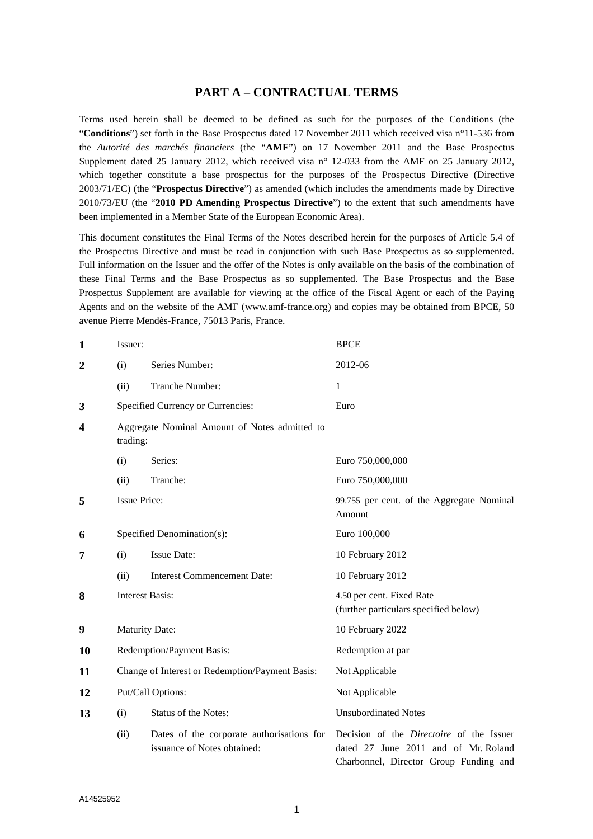## **PART A – CONTRACTUAL TERMS**

Terms used herein shall be deemed to be defined as such for the purposes of the Conditions (the "**Conditions**") set forth in the Base Prospectus dated 17 November 2011 which received visa n°11-536 from the *Autorité des marchés financiers* (the "**AMF**") on 17 November 2011 and the Base Prospectus Supplement dated 25 January 2012, which received visa n° 12-033 from the AMF on 25 January 2012, which together constitute a base prospectus for the purposes of the Prospectus Directive (Directive 2003/71/EC) (the "**Prospectus Directive**") as amended (which includes the amendments made by Directive 2010/73/EU (the "**2010 PD Amending Prospectus Directive**") to the extent that such amendments have been implemented in a Member State of the European Economic Area).

This document constitutes the Final Terms of the Notes described herein for the purposes of Article 5.4 of the Prospectus Directive and must be read in conjunction with such Base Prospectus as so supplemented. Full information on the Issuer and the offer of the Notes is only available on the basis of the combination of these Final Terms and the Base Prospectus as so supplemented. The Base Prospectus and the Base Prospectus Supplement are available for viewing at the office of the Fiscal Agent or each of the Paying Agents and on the website of the AMF (www.amf-france.org) and copies may be obtained from BPCE, 50 avenue Pierre Mendès-France, 75013 Paris, France.

| $\mathbf{1}$            | Issuer:                                                   |                                                                          | <b>BPCE</b>                                                                                                                       |  |
|-------------------------|-----------------------------------------------------------|--------------------------------------------------------------------------|-----------------------------------------------------------------------------------------------------------------------------------|--|
| $\overline{2}$          | (i)                                                       | Series Number:                                                           | 2012-06                                                                                                                           |  |
|                         | (ii)                                                      | Tranche Number:                                                          | $\mathbf{1}$                                                                                                                      |  |
| 3                       |                                                           | Specified Currency or Currencies:                                        | Euro                                                                                                                              |  |
| $\overline{\mathbf{4}}$ | Aggregate Nominal Amount of Notes admitted to<br>trading: |                                                                          |                                                                                                                                   |  |
|                         | (i)                                                       | Series:                                                                  | Euro 750,000,000                                                                                                                  |  |
|                         | (ii)                                                      | Tranche:                                                                 | Euro 750,000,000                                                                                                                  |  |
| 5                       | <b>Issue Price:</b>                                       |                                                                          | 99.755 per cent. of the Aggregate Nominal<br>Amount                                                                               |  |
| 6                       |                                                           | Specified Denomination(s):                                               | Euro 100,000                                                                                                                      |  |
| 7                       | (i)                                                       | <b>Issue Date:</b>                                                       | 10 February 2012                                                                                                                  |  |
|                         | (ii)                                                      | <b>Interest Commencement Date:</b>                                       | 10 February 2012                                                                                                                  |  |
| 8                       |                                                           | <b>Interest Basis:</b>                                                   | 4.50 per cent. Fixed Rate<br>(further particulars specified below)                                                                |  |
| 9                       |                                                           | <b>Maturity Date:</b>                                                    | 10 February 2022                                                                                                                  |  |
| 10                      | Redemption/Payment Basis:                                 |                                                                          | Redemption at par                                                                                                                 |  |
| 11                      | Change of Interest or Redemption/Payment Basis:           |                                                                          | Not Applicable                                                                                                                    |  |
| 12                      | Put/Call Options:                                         |                                                                          | Not Applicable                                                                                                                    |  |
| 13                      | (i)                                                       | <b>Status of the Notes:</b>                                              | <b>Unsubordinated Notes</b>                                                                                                       |  |
|                         | (ii)                                                      | Dates of the corporate authorisations for<br>issuance of Notes obtained: | Decision of the <i>Directoire</i> of the Issuer<br>dated 27 June 2011 and of Mr. Roland<br>Charbonnel, Director Group Funding and |  |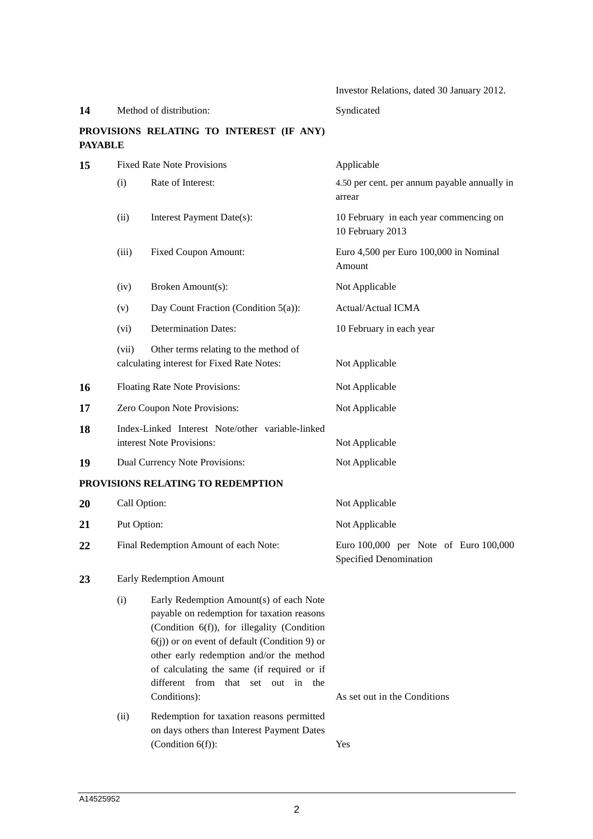Investor Relations, dated 30 January 2012.

# 14 Method of distribution: Syndicated

# **PROVISIONS RELATING TO INTEREST (IF ANY) PAYABLE**

| 15 |                                       | <b>Fixed Rate Note Provisions</b>                                                                                                                                                                                                                                                                                                           | Applicable                                                      |  |  |
|----|---------------------------------------|---------------------------------------------------------------------------------------------------------------------------------------------------------------------------------------------------------------------------------------------------------------------------------------------------------------------------------------------|-----------------------------------------------------------------|--|--|
|    | (i)                                   | Rate of Interest:                                                                                                                                                                                                                                                                                                                           | 4.50 per cent. per annum payable annually in<br>arrear          |  |  |
|    | (ii)                                  | Interest Payment Date(s):                                                                                                                                                                                                                                                                                                                   | 10 February in each year commencing on<br>10 February 2013      |  |  |
|    | (iii)                                 | <b>Fixed Coupon Amount:</b>                                                                                                                                                                                                                                                                                                                 | Euro 4,500 per Euro 100,000 in Nominal<br>Amount                |  |  |
|    | (iv)                                  | Broken Amount(s):                                                                                                                                                                                                                                                                                                                           | Not Applicable                                                  |  |  |
|    | (v)                                   | Day Count Fraction (Condition $5(a)$ ):                                                                                                                                                                                                                                                                                                     | Actual/Actual ICMA                                              |  |  |
|    | (vi)                                  | <b>Determination Dates:</b>                                                                                                                                                                                                                                                                                                                 | 10 February in each year                                        |  |  |
|    | (vii)                                 | Other terms relating to the method of<br>calculating interest for Fixed Rate Notes:                                                                                                                                                                                                                                                         | Not Applicable                                                  |  |  |
| 16 |                                       | Floating Rate Note Provisions:                                                                                                                                                                                                                                                                                                              | Not Applicable                                                  |  |  |
| 17 |                                       | Zero Coupon Note Provisions:                                                                                                                                                                                                                                                                                                                | Not Applicable                                                  |  |  |
| 18 |                                       | Index-Linked Interest Note/other variable-linked<br>interest Note Provisions:                                                                                                                                                                                                                                                               | Not Applicable                                                  |  |  |
| 19 |                                       | Dual Currency Note Provisions:                                                                                                                                                                                                                                                                                                              | Not Applicable                                                  |  |  |
|    |                                       | PROVISIONS RELATING TO REDEMPTION                                                                                                                                                                                                                                                                                                           |                                                                 |  |  |
| 20 | Call Option:                          |                                                                                                                                                                                                                                                                                                                                             | Not Applicable                                                  |  |  |
| 21 | Put Option:                           |                                                                                                                                                                                                                                                                                                                                             | Not Applicable                                                  |  |  |
| 22 | Final Redemption Amount of each Note: |                                                                                                                                                                                                                                                                                                                                             | Euro 100,000 per Note of Euro 100,000<br>Specified Denomination |  |  |
| 23 |                                       | Early Redemption Amount                                                                                                                                                                                                                                                                                                                     |                                                                 |  |  |
|    | (i)                                   | Early Redemption Amount(s) of each Note<br>payable on redemption for taxation reasons<br>(Condition 6(f)), for illegality (Condition<br>$6(j)$ ) or on event of default (Condition 9) or<br>other early redemption and/or the method<br>of calculating the same (if required or if<br>different from that set<br>out in the<br>Conditions): | As set out in the Conditions                                    |  |  |
|    | (ii)                                  | Redemption for taxation reasons permitted<br>on days others than Interest Payment Dates<br>(Condition $6(f)$ ):                                                                                                                                                                                                                             | Yes                                                             |  |  |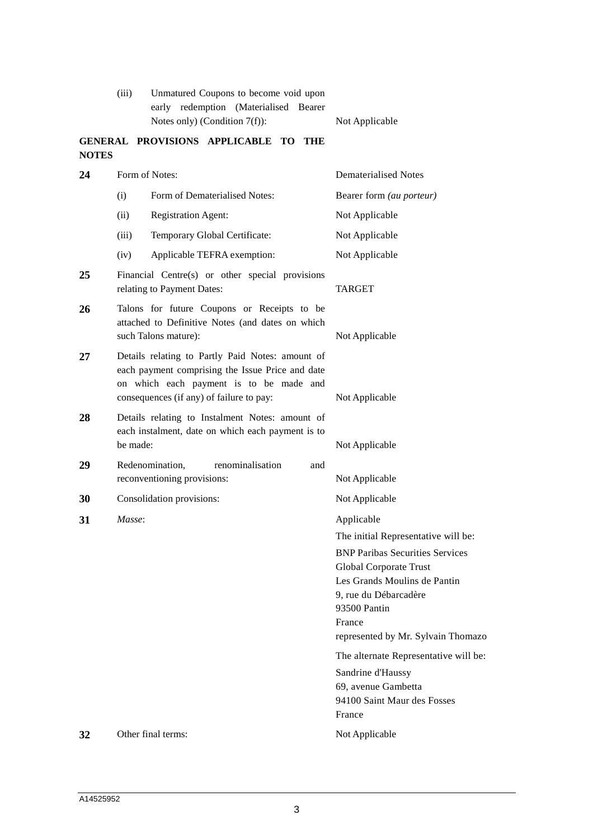| (iii) | Unmatured Coupons to become void upon |  |                                        |  |  |
|-------|---------------------------------------|--|----------------------------------------|--|--|
|       |                                       |  | early redemption (Materialised Bearer) |  |  |
|       | Notes only) (Condition $7(f)$ ):      |  | Not Applicable                         |  |  |

# **GENERAL PROVISIONS APPLICABLE TO THE NOTES**

| 24 |          | Form of Notes:                                                                                                                                                                              | <b>Dematerialised Notes</b>                                                                                                                                                                                                      |
|----|----------|---------------------------------------------------------------------------------------------------------------------------------------------------------------------------------------------|----------------------------------------------------------------------------------------------------------------------------------------------------------------------------------------------------------------------------------|
|    | (i)      | Form of Dematerialised Notes:                                                                                                                                                               | Bearer form (au porteur)                                                                                                                                                                                                         |
|    | (ii)     | <b>Registration Agent:</b>                                                                                                                                                                  | Not Applicable                                                                                                                                                                                                                   |
|    | (iii)    | Temporary Global Certificate:                                                                                                                                                               | Not Applicable                                                                                                                                                                                                                   |
|    | (iv)     | Applicable TEFRA exemption:                                                                                                                                                                 | Not Applicable                                                                                                                                                                                                                   |
| 25 |          | Financial Centre(s) or other special provisions<br>relating to Payment Dates:                                                                                                               | <b>TARGET</b>                                                                                                                                                                                                                    |
| 26 |          | Talons for future Coupons or Receipts to be<br>attached to Definitive Notes (and dates on which<br>such Talons mature):                                                                     | Not Applicable                                                                                                                                                                                                                   |
| 27 |          | Details relating to Partly Paid Notes: amount of<br>each payment comprising the Issue Price and date<br>on which each payment is to be made and<br>consequences (if any) of failure to pay: | Not Applicable                                                                                                                                                                                                                   |
| 28 | be made: | Details relating to Instalment Notes: amount of<br>each instalment, date on which each payment is to                                                                                        | Not Applicable                                                                                                                                                                                                                   |
| 29 |          | Redenomination,<br>renominalisation<br>and<br>reconventioning provisions:                                                                                                                   | Not Applicable                                                                                                                                                                                                                   |
| 30 |          | Consolidation provisions:                                                                                                                                                                   | Not Applicable                                                                                                                                                                                                                   |
| 31 | Masse:   |                                                                                                                                                                                             | Applicable                                                                                                                                                                                                                       |
|    |          |                                                                                                                                                                                             | The initial Representative will be:<br><b>BNP Paribas Securities Services</b><br>Global Corporate Trust<br>Les Grands Moulins de Pantin<br>9, rue du Débarcadère<br>93500 Pantin<br>France<br>represented by Mr. Sylvain Thomazo |
|    |          |                                                                                                                                                                                             | The alternate Representative will be:                                                                                                                                                                                            |
|    |          |                                                                                                                                                                                             | Sandrine d'Haussy<br>69, avenue Gambetta<br>94100 Saint Maur des Fosses<br>France                                                                                                                                                |
| 32 |          | Other final terms:                                                                                                                                                                          | Not Applicable                                                                                                                                                                                                                   |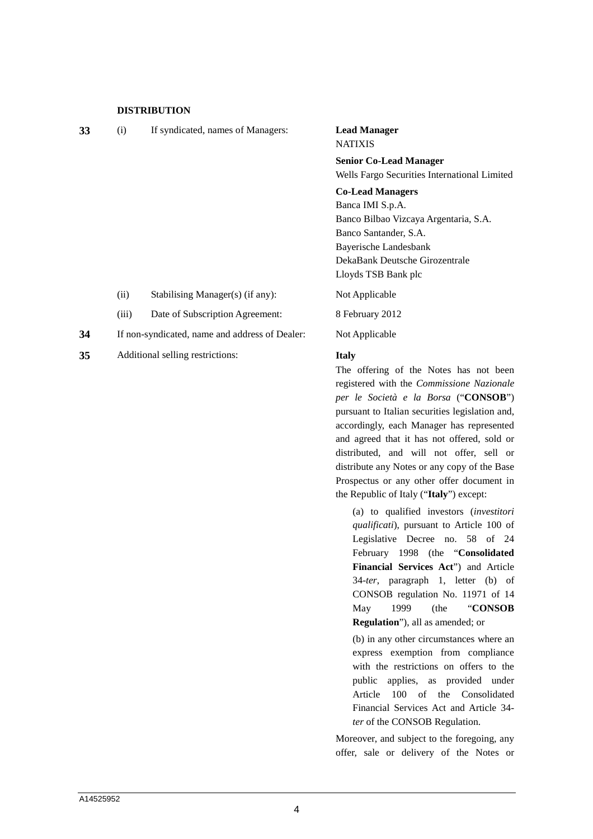#### **DISTRIBUTION**

| 33 | (i)   | If syndicated, names of Managers:              | <b>Lead Manager</b><br><b>NATIXIS</b>        |  |  |
|----|-------|------------------------------------------------|----------------------------------------------|--|--|
|    |       |                                                | <b>Senior Co-Lead Manager</b>                |  |  |
|    |       |                                                | Wells Fargo Securities International Limited |  |  |
|    |       |                                                | <b>Co-Lead Managers</b>                      |  |  |
|    |       |                                                | Banca IMI S.p.A.                             |  |  |
|    |       |                                                | Banco Bilbao Vizcaya Argentaria, S.A.        |  |  |
|    |       |                                                | Banco Santander, S.A.                        |  |  |
|    |       |                                                | Bayerische Landesbank                        |  |  |
|    |       |                                                | DekaBank Deutsche Girozentrale               |  |  |
|    |       |                                                | Lloyds TSB Bank plc                          |  |  |
|    | (ii)  | Stabilising Manager(s) (if any):               | Not Applicable                               |  |  |
|    | (iii) | Date of Subscription Agreement:                | 8 February 2012                              |  |  |
| 34 |       | If non-syndicated, name and address of Dealer: | Not Applicable                               |  |  |
|    |       |                                                |                                              |  |  |

**35** Additional selling restrictions: **Italy**

The offering of the Notes has not been registered with the *Commissione Nazionale per le Società e la Borsa* ("**CONSOB**") pursuant to Italian securities legislation and, accordingly, each Manager has represented and agreed that it has not offered, sold or distributed, and will not offer, sell or distribute any Notes or any copy of the Base Prospectus or any other offer document in the Republic of Italy ("**Italy**") except:

(a) to qualified investors (*investitori qualificati*), pursuant to Article 100 of Legislative Decree no. 58 of 24 February 1998 (the "**Consolidated Financial Services Act**") and Article 34-*ter*, paragraph 1, letter (b) of CONSOB regulation No. 11971 of 14 May 1999 (the "**CONSOB Regulation**"), all as amended; or

(b) in any other circumstances where an express exemption from compliance with the restrictions on offers to the public applies, as provided under Article 100 of the Consolidated Financial Services Act and Article 34 *ter* of the CONSOB Regulation.

Moreover, and subject to the foregoing, any offer, sale or delivery of the Notes or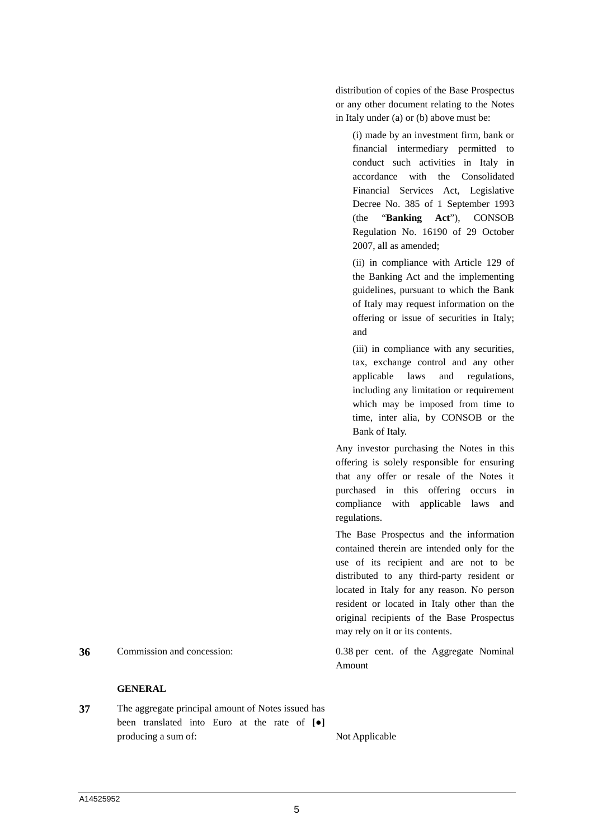distribution of copies of the Base Prospectus or any other document relating to the Notes in Italy under (a) or (b) above must be:

(i) made by an investment firm, bank or financial intermediary permitted to conduct such activities in Italy in accordance with the Consolidated Financial Services Act, Legislative Decree No. 385 of 1 September 1993 (the "**Banking Act**"), CONSOB Regulation No. 16190 of 29 October 2007, all as amended;

(ii) in compliance with Article 129 of the Banking Act and the implementing guidelines, pursuant to which the Bank of Italy may request information on the offering or issue of securities in Italy; and

(iii) in compliance with any securities, tax, exchange control and any other applicable laws and regulations, including any limitation or requirement which may be imposed from time to time, inter alia, by CONSOB or the Bank of Italy.

Any investor purchasing the Notes in this offering is solely responsible for ensuring that any offer or resale of the Notes it purchased in this offering occurs in compliance with applicable laws and regulations.

The Base Prospectus and the information contained therein are intended only for the use of its recipient and are not to be distributed to any third-party resident or located in Italy for any reason. No person resident or located in Italy other than the original recipients of the Base Prospectus may rely on it or its contents.

**36** Commission and concession: 0.38 per cent. of the Aggregate Nominal

## **GENERAL**

**37** The aggregate principal amount of Notes issued has been translated into Euro at the rate of **[●]** producing a sum of: Not Applicable

Amount

5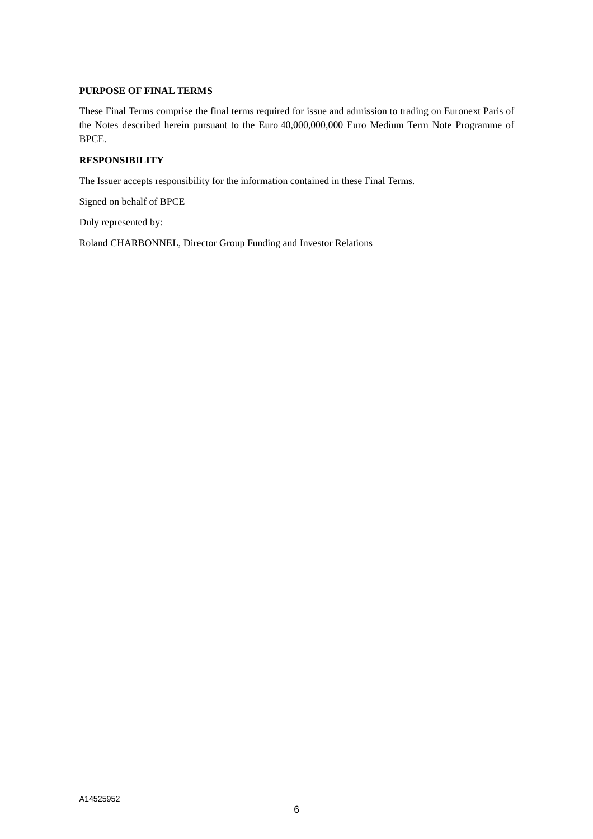## **PURPOSE OF FINAL TERMS**

These Final Terms comprise the final terms required for issue and admission to trading on Euronext Paris of the Notes described herein pursuant to the Euro 40,000,000,000 Euro Medium Term Note Programme of BPCE.

# **RESPONSIBILITY**

The Issuer accepts responsibility for the information contained in these Final Terms.

Signed on behalf of BPCE

Duly represented by:

Roland CHARBONNEL, Director Group Funding and Investor Relations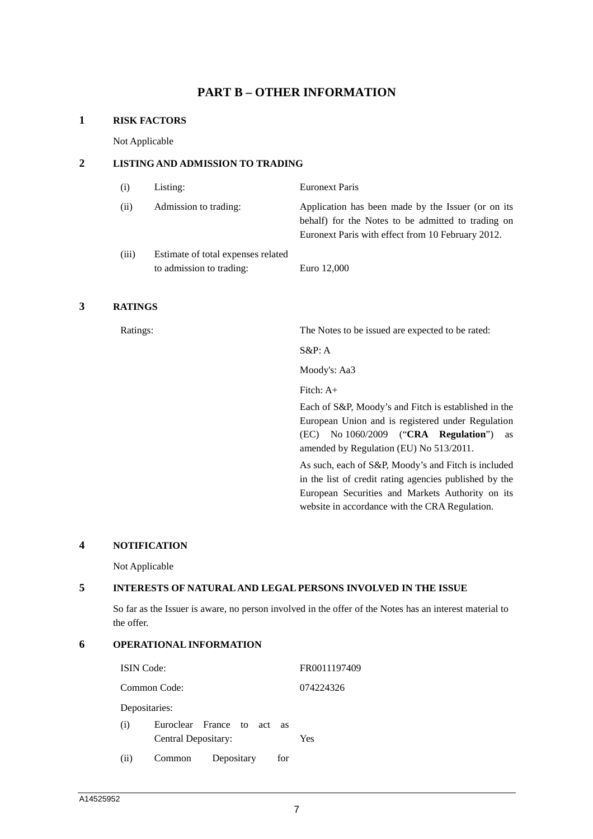# **PART B – OTHER INFORMATION**

### **1 RISK FACTORS**

Not Applicable

## **2 LISTING AND ADMISSION TO TRADING**

| (i)   | Listing:                                                       | <b>Euronext Paris</b>                                                                                                                                         |
|-------|----------------------------------------------------------------|---------------------------------------------------------------------------------------------------------------------------------------------------------------|
| (ii)  | Admission to trading:                                          | Application has been made by the Issuer (or on its<br>behalf) for the Notes to be admitted to trading on<br>Euronext Paris with effect from 10 February 2012. |
| (iii) | Estimate of total expenses related<br>to admission to trading: | Euro 12,000                                                                                                                                                   |

## **3 RATINGS**

Ratings: The Notes to be issued are expected to be rated:

S&P: A

Moody's: Aa3

Fitch: A+

Each of S&P, Moody's and Fitch is established in the European Union and is registered under Regulation (EC) No 1060/2009 ("**CRA Regulation**") as amended by Regulation (EU) No 513/2011.

As such, each of S&P, Moody's and Fitch is included in the list of credit rating agencies published by the European Securities and Markets Authority on its website in accordance with the CRA Regulation.

#### **4 NOTIFICATION**

Not Applicable

## **5 INTERESTS OF NATURAL AND LEGAL PERSONS INVOLVED IN THE ISSUE**

So far as the Issuer is aware, no person involved in the offer of the Notes has an interest material to the offer.

# **6 OPERATIONAL INFORMATION**

| <b>ISIN</b> Code: |                     |                         |           | FR0011197409 |
|-------------------|---------------------|-------------------------|-----------|--------------|
|                   | Common Code:        |                         | 074224326 |              |
|                   | Depositaries:       |                         |           |              |
| (i)               | Central Depositary: | Euroclear France to act | - as      | Yes          |
| (ii)              | Common              | Depositary              | for       |              |